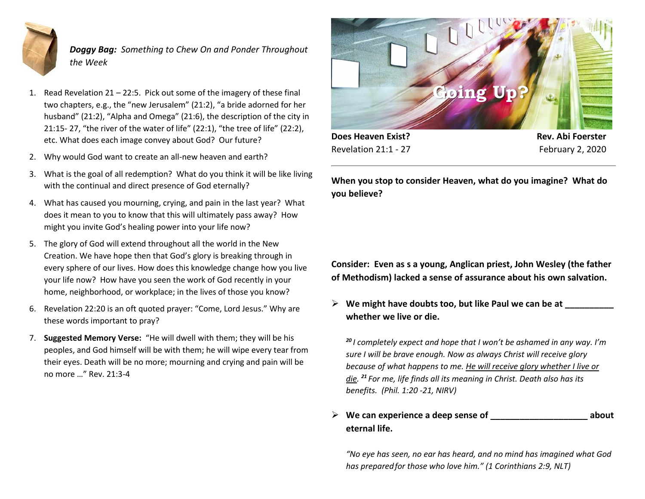

# *Doggy Bag: Something to Chew On and Ponder Throughout the Week*

- 1. Read Revelation 21 22:5. Pick out some of the imagery of these final two chapters, e.g., the "new Jerusalem" (21:2), "a bride adorned for her husband" (21:2), "Alpha and Omega" (21:6), the description of the city in 21:15- 27, "the river of the water of life" (22:1), "the tree of life" (22:2), etc. What does each image convey about God? Our future?
- 2. Why would God want to create an all-new heaven and earth?
- 3. What is the goal of all redemption? What do you think it will be like living with the continual and direct presence of God eternally?
- 4. What has caused you mourning, crying, and pain in the last year? What does it mean to you to know that this will ultimately pass away? How might you invite God's healing power into your life now?
- 5. The glory of God will extend throughout all the world in the New Creation. We have hope then that God's glory is breaking through in every sphere of our lives. How does this knowledge change how you live your life now? How have you seen the work of God recently in your home, neighborhood, or workplace; in the lives of those you know?
- 6. Revelation 22:20 is an oft quoted prayer: "Come, Lord Jesus." Why are these words important to pray?
- 7. **Suggested Memory Verse:** "He will dwell with them; they will be his peoples, and God himself will be with them; he will wipe every tear from their eyes. Death will be no more; mourning and crying and pain will be no more …" Rev. 21:3-4



**Does Heaven Exist? Rev. Abi Foerster** Revelation 21:1 - 27 February 2, 2020

**When you stop to consider Heaven, what do you imagine? What do you believe?** 

**Consider: Even as s a young, Anglican priest, John Wesley (the father of Methodism) lacked a sense of assurance about his own salvation.**

 **We might have doubts too, but like Paul we can be at \_\_\_\_\_\_\_\_\_\_ whether we live or die.**

*<sup>20</sup> I completely expect and hope that I won't be ashamed in any way. I'm sure I will be brave enough. Now as always Christ will receive glory because of what happens to me. He will receive glory whether I live or die. <sup>21</sup> For me, life finds all its meaning in Christ. Death also has its benefits. (Phil. 1:20 -21, NIRV)*

 **We can experience a deep sense of \_\_\_\_\_\_\_\_\_\_\_\_\_\_\_\_\_\_\_\_ about eternal life.**

*"No eye has seen, no ear has heard, and no mind has imagined what God has preparedfor those who love him." (1 Corinthians 2:9, NLT)*